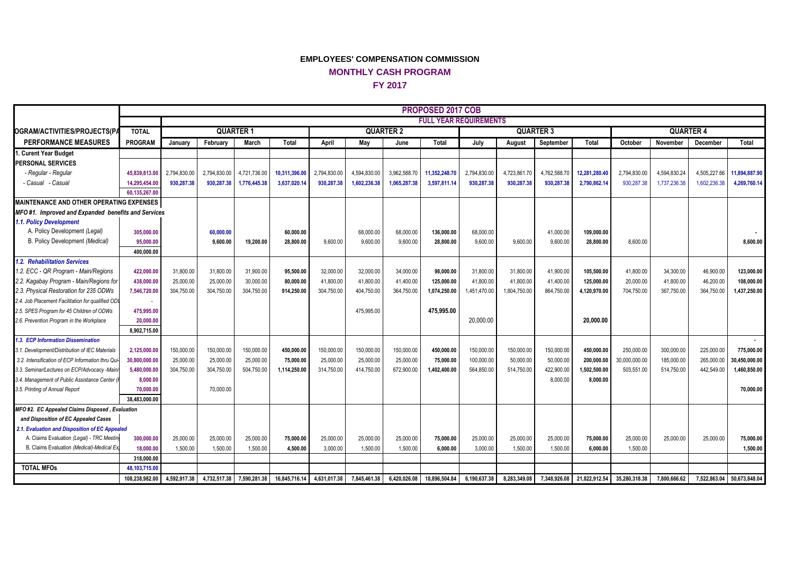## **EMPLOYEES' COMPENSATION COMMISSION MONTHLY CASH PROGRAM FY 2017**

|                                                                                   |                |                               |                         |                           |                         |                         |                         |                         | PROPOSED 2017 COB |                           |                           |                         |                            |                         |                         |                         |               |
|-----------------------------------------------------------------------------------|----------------|-------------------------------|-------------------------|---------------------------|-------------------------|-------------------------|-------------------------|-------------------------|-------------------|---------------------------|---------------------------|-------------------------|----------------------------|-------------------------|-------------------------|-------------------------|---------------|
|                                                                                   |                | <b>FULL YEAR REQUIREMENTS</b> |                         |                           |                         |                         |                         |                         |                   |                           |                           |                         |                            |                         |                         |                         |               |
| <b>OGRAM/ACTIVITIES/PROJECTS(P/</b>                                               | <b>TOTAL</b>   | <b>QUARTER 1</b>              |                         |                           |                         | <b>QUARTER 2</b>        |                         |                         |                   |                           | <b>QUARTER 3</b>          |                         |                            | <b>QUARTER 4</b>        |                         |                         |               |
| <b>PERFORMANCE MEASURES</b>                                                       | PROGRAM        | January                       | February                | March                     | Total                   | April                   | Mav                     | June                    | Total             | July                      | August                    | September               | Total                      | October                 | November                | December                | Total         |
| 1. Curent Year Budget                                                             |                |                               |                         |                           |                         |                         |                         |                         |                   |                           |                           |                         |                            |                         |                         |                         |               |
| <b>PERSONAL SERVICES</b>                                                          |                |                               |                         |                           |                         |                         |                         |                         |                   |                           |                           |                         |                            |                         |                         |                         |               |
| - Regular - Regular                                                               | 45,839,813.00  | 2,794,830.00                  | 2,794,830.00            | 4,721,736.00              | 10,311,396.00           | 2,794,830.00            | 4,594,830.00            | 3,962,588.70            | 11,352,248.70     | 2,794,830.00              | 4,723,861.70              | 4,762,588.70            | 12,281,280.40              | 2,794,830.00            | 4,594,830.24            | 4,505,227.66            | 11.894.887.90 |
| - Casual   - Casual                                                               | 14,295,454.00  | 930.287.38                    | 930.287.38              | 1,776,445.38              | 3,637,020.14            | 930,287.38              | 1,602,236.38            | 1,065,287.38            | 3,597,811.14      | 930.287.38                | 930,287.38                | 930,287.38              | 2,790,862.14               | 930,287.38              | 1,737,236.38            | 1,602,236.38            | 4,269,760.14  |
|                                                                                   | 60.135.267.00  |                               |                         |                           |                         |                         |                         |                         |                   |                           |                           |                         |                            |                         |                         |                         |               |
| MAINTENANCE AND OTHER OPERATING EXPENSES                                          |                |                               |                         |                           |                         |                         |                         |                         |                   |                           |                           |                         |                            |                         |                         |                         |               |
| MFO#1. Improved and Expanded benefits and Services                                |                |                               |                         |                           |                         |                         |                         |                         |                   |                           |                           |                         |                            |                         |                         |                         |               |
| 1.1. Policy Development                                                           |                |                               |                         |                           |                         |                         |                         |                         |                   |                           |                           |                         |                            |                         |                         |                         |               |
| A. Policy Development (Legal)                                                     | 305,000.00     |                               | 60,000.00               |                           | 60,000.00               |                         | 68,000.00               | 68,000.00               | 136,000.00        | 68,000.00                 |                           | 41,000.00               | 109,000.00                 |                         |                         |                         |               |
| B. Policy Development (Medical)                                                   | 95.000.00      |                               | 9,600.00                | 19,200.00                 | 28,800.00               | 9,600.00                | 9,600.00                | 9,600.00                | 28,800.00         | 9,600.00                  | 9,600.00                  | 9,600.00                | 28,800.00                  | 8,600.00                |                         |                         | 8,600.00      |
|                                                                                   | 400.000.00     |                               |                         |                           |                         |                         |                         |                         |                   |                           |                           |                         |                            |                         |                         |                         |               |
| 1.2. Rehabilitation Services                                                      |                |                               |                         |                           |                         |                         |                         |                         |                   |                           |                           |                         |                            |                         |                         |                         |               |
| 1.2. ECC - QR Program - Main/Regions                                              | 422,000.00     | 31,800.00                     | 31,800.00               | 31,900.00                 | 95,500.00               | 32,000.00               | 32,000.00               | 34,000.00               | 98,000.00         | 31,800.00                 | 31,800.00                 | 41,900.00               | 105,500.00                 | 41,800.00               | 34,300.00               | 46,900.00               | 123,000.00    |
| 2.2. Kagabay Program - Main/Regions for<br>2.3. Physical Restoration for 235 ODWs | 438,000.00     | 25,000.00<br>304,750.00       | 25,000.00<br>304,750.00 | 30,000.00<br>304,750.00   | 80,000.00<br>914,250.00 | 41,800.00<br>304,750.00 | 41,800.00<br>404,750.00 | 41,400.00<br>364,750.00 | 125,000.00        | 41,800.00<br>1,451,470.00 | 41,800.00<br>1,804,750.00 | 41,400.00<br>864,750.00 | 125,000.00                 | 20,000.00<br>704,750.00 | 41,800.00<br>367,750.00 | 46,200.00<br>364,750.00 | 108,000.00    |
| 2.4. Job Placement Facilitation for qualified OD                                  | 7,546,720.00   |                               |                         |                           |                         |                         |                         |                         | 1,074,250.00      |                           |                           |                         | 4,120,970.00               |                         |                         |                         | 1,437,250.00  |
| 2.5. SPES Program for 45 Children of ODWs                                         | 475.995.00     |                               |                         |                           |                         |                         | 475.995.00              |                         | 475.995.00        |                           |                           |                         |                            |                         |                         |                         |               |
| 2.6. Prevention Program in the Workplace                                          | 20,000.00      |                               |                         |                           |                         |                         |                         |                         |                   | 20.000.00                 |                           |                         | 20.000.00                  |                         |                         |                         |               |
|                                                                                   | 8.902.715.00   |                               |                         |                           |                         |                         |                         |                         |                   |                           |                           |                         |                            |                         |                         |                         |               |
| 1.3. ECP Information Dissemination                                                |                |                               |                         |                           |                         |                         |                         |                         |                   |                           |                           |                         |                            |                         |                         |                         | A.            |
| 3.1. Development/Distribution of IEC Materials                                    | 2,125,000.00   | 150.000.00                    | 150,000.00              | 150,000.00                | 450,000.00              | 150,000.00              | 150,000.00              | 150,000.00              | 450,000.00        | 150,000.00                | 150,000.00                | 150,000.00              | 450,000.00                 | 250.000.00              | 300.000.00              | 225,000.00              | 775,000.00    |
| 3.2. Intensification of ECP Information thru Qui                                  | 30,800,000.00  | 25,000.00                     | 25,000.00               | 25,000.00                 | 75,000.00               | 25,000.00               | 25,000.00               | 25,000.00               | 75,000.00         | 100,000.00                | 50,000.00                 | 50,000.00               | 200,000.00                 | 30,000,000.00           | 185,000.00              | 265,000.00              | 30,450,000.00 |
| 3.3. Seminar/Lectures on ECP/Advocacy -Main                                       | 5,480,000.00   | 304,750.00                    | 304,750.00              | 504,750.00                | 1,114,250.00            | 314,750.00              | 414,750.00              | 672,900.00              | 1,402,400.00      | 564.850.00                | 514.750.00                | 422,900.00              | 1,502,500.00               | 503.551.00              | 514,750.00              | 442,549.00              | 1,460,850.00  |
| 3.4. Management of Public Assistance Center                                       | 8,000.00       |                               |                         |                           |                         |                         |                         |                         |                   |                           |                           | 8,000.00                | 8,000.00                   |                         |                         |                         |               |
| 3.5. Printing of Annual Report                                                    | 70,000.00      |                               | 70,000.00               |                           |                         |                         |                         |                         |                   |                           |                           |                         |                            |                         |                         |                         | 70.000.00     |
|                                                                                   | 38.483.000.00  |                               |                         |                           |                         |                         |                         |                         |                   |                           |                           |                         |                            |                         |                         |                         |               |
| MFO#2. EC Appealed Claims Disposed, Evaluation                                    |                |                               |                         |                           |                         |                         |                         |                         |                   |                           |                           |                         |                            |                         |                         |                         |               |
| and Disposition of EC Appealed Cases                                              |                |                               |                         |                           |                         |                         |                         |                         |                   |                           |                           |                         |                            |                         |                         |                         |               |
| 2.1. Evaluation and Disposition of EC Appealed                                    |                |                               |                         |                           |                         |                         |                         |                         |                   |                           |                           |                         |                            |                         |                         |                         |               |
| A. Claims Evaluation (Legal) - TRC Meetir                                         | 300,000.00     | 25,000.00                     | 25,000.00               | 25,000.00                 | 75,000.00               | 25,000.00               | 25,000.00               | 25,000.00               | 75,000.00         | 25,000.00                 | 25,000.00                 | 25,000.00               | 75,000.00                  | 25,000.00               | 25,000.00               | 25.000.00               | 75,000.00     |
| B. Claims Evaluation (Medical)-Medical Ex                                         | 18,000.00      | 1,500.00                      | 1,500.00                | 1,500.00                  | 4,500.00                | 3,000.00                | 1,500.00                | 1,500.00                | 6,000.00          | 3,000.00                  | 1,500.00                  | 1,500.00                | 6,000.00                   | 1,500.00                |                         |                         | 1,500.00      |
|                                                                                   | 318,000.00     |                               |                         |                           |                         |                         |                         |                         |                   |                           |                           |                         |                            |                         |                         |                         |               |
| <b>TOTAL MFOs</b>                                                                 | 48,103,715.00  |                               |                         |                           |                         |                         |                         |                         |                   |                           |                           |                         |                            |                         |                         |                         |               |
|                                                                                   | 108,238,982.00 | 4,592,917.38                  |                         | 4,732,517.38 7,590,281.38 | 16,845,716.14           | 4,631,017.38            | 7,845,461.38            | 6,420,026.08            | 18,896,504.84     | 6,190,637.38              | 8,283,349.08              |                         | 7,348,926.08 21,822,912.54 | 35,280,318.38           | 7,800,666.62            | 7,522,863.04            | 50,673,848.04 |